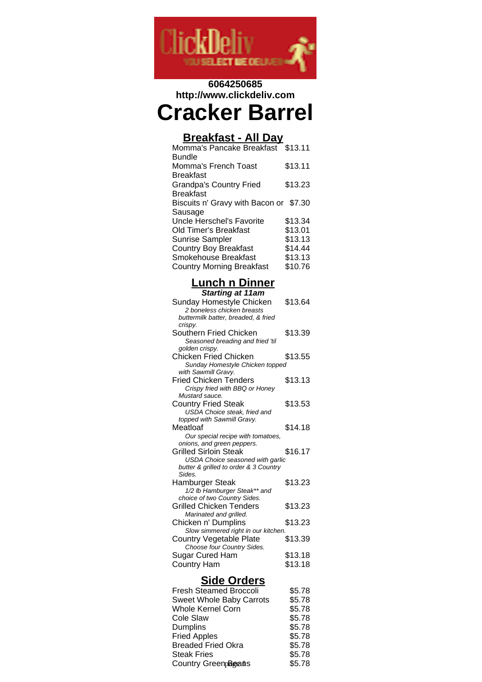

## **6064250685 http://www.clickdeliv.com**

# **Cracker Barrel**

### **Breakfast - All Day**

| Momma's Pancake Breakfast              | \$13.11 |
|----------------------------------------|---------|
| Bundle                                 |         |
| Momma's French Toast                   | \$13.11 |
| <b>Breakfast</b>                       |         |
| <b>Grandpa's Country Fried</b>         | \$13.23 |
| <b>Breakfast</b>                       |         |
| Biscuits n' Gravy with Bacon or \$7.30 |         |
| Sausage                                |         |
| Uncle Herschel's Favorite              | \$13.34 |
| Old Timer's Breakfast                  | \$13.01 |
| <b>Sunrise Sampler</b>                 | \$13.13 |
| <b>Country Boy Breakfast</b>           | \$14.44 |
| Smokehouse Breakfast                   | \$13.13 |
| <b>Country Morning Breakfast</b>       | \$10.76 |
|                                        |         |

# **Lunch n Dinner**

| <b>Starting at 11am</b>                                |         |
|--------------------------------------------------------|---------|
| Sunday Homestyle Chicken<br>2 boneless chicken breasts | \$13.64 |
| buttermilk batter, breaded, & fried                    |         |
| crispy.                                                |         |
| Southern Fried Chicken                                 | \$13.39 |
| Seasoned breading and fried 'til                       |         |
| golden crispy.                                         |         |
| Chicken Fried Chicken                                  | \$13.55 |
| Sunday Homestyle Chicken topped                        |         |
| with Sawmill Gravy.                                    |         |
| <b>Fried Chicken Tenders</b>                           | \$13.13 |
| Crispy fried with BBQ or Honey                         |         |
| Mustard sauce.                                         |         |
| <b>Country Fried Steak</b>                             | \$13.53 |
| USDA Choice steak, fried and                           |         |
| topped with Sawmill Gravy.                             |         |
| Meatloaf                                               | \$14.18 |
| Our special recipe with tomatoes,                      |         |
| onions, and green peppers.                             |         |
| <b>Grilled Sirloin Steak</b>                           | \$16.17 |
| <b>USDA Choice seasoned with garlic</b>                |         |
| butter & grilled to order & 3 Country<br>Sides.        |         |
| Hamburger Steak                                        | \$13.23 |
| 1/2 lb Hamburger Steak** and                           |         |
| choice of two Country Sides.                           |         |
| <b>Grilled Chicken Tenders</b>                         | \$13.23 |
| Marinated and grilled.                                 |         |
| Chicken n' Dumplins                                    | \$13.23 |
| Slow simmered right in our kitchen.                    |         |
| <b>Country Vegetable Plate</b>                         | \$13.39 |
| Choose four Country Sides.                             |         |
| Sugar Cured Ham                                        | \$13.18 |
|                                                        |         |
| <b>Country Ham</b>                                     | \$13.18 |
| <b>Side Orders</b>                                     |         |

| <b>Fresh Steamed Broccoli</b> | \$5.78 |
|-------------------------------|--------|
| Sweet Whole Baby Carrots      | \$5.78 |
| <b>Whole Kernel Corn</b>      | \$5.78 |
| Cole Slaw                     | \$5.78 |
| <b>Dumplins</b>               | \$5.78 |
| <b>Fried Apples</b>           | \$5.78 |
| <b>Breaded Fried Okra</b>     | \$5.78 |
| <b>Steak Fries</b>            | \$5.78 |
| Country GreenpBeans           | \$5.78 |
|                               |        |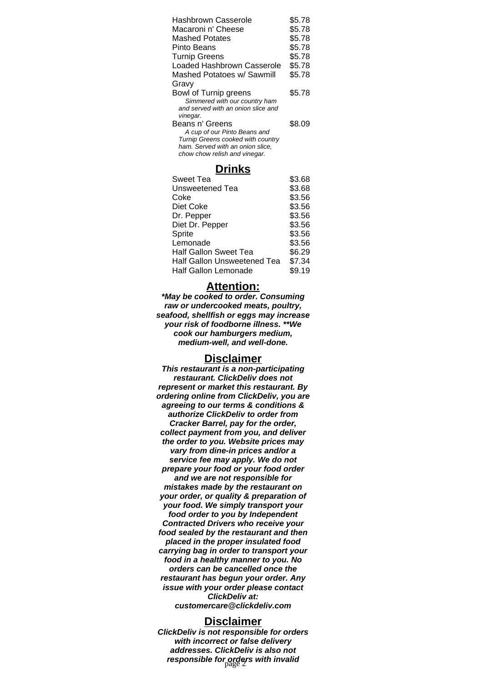| Hashbrown Casserole<br>\$5.78      |        |
|------------------------------------|--------|
| Macaroni n' Cheese                 | \$5.78 |
| <b>Mashed Potates</b>              | \$5.78 |
| Pinto Beans                        | \$5.78 |
| <b>Turnip Greens</b>               | \$5.78 |
| Loaded Hashbrown Casserole         | \$5.78 |
| Mashed Potatoes w/ Sawmill         | \$5.78 |
| Gravy                              |        |
| Bowl of Turnip greens              | \$5.78 |
| Simmered with our country ham      |        |
| and served with an onion slice and |        |
| vinegar.<br>Beans n' Greens        | \$8.09 |
| A cup of our Pinto Beans and       |        |
| Turnip Greens cooked with country  |        |
| ham. Served with an onion slice,   |        |
| chow chow relish and vinegar.      |        |

#### **Drinks**

| <b>Sweet Tea</b>            | \$3.68 |
|-----------------------------|--------|
| Unsweetened Tea             | \$3.68 |
| Coke                        | \$3.56 |
| Diet Coke                   | \$3.56 |
| Dr. Pepper                  | \$3.56 |
| Diet Dr. Pepper             | \$3.56 |
| Sprite                      | \$3.56 |
| Lemonade                    | \$3.56 |
| Half Gallon Sweet Tea       | \$6.29 |
| Half Gallon Unsweetened Tea | \$7.34 |
| <b>Half Gallon Lemonade</b> | \$9.19 |

#### **Attention:**

**\*May be cooked to order. Consuming raw or undercooked meats, poultry, seafood, shellfish or eggs may increase your risk of foodborne illness. \*\*We cook our hamburgers medium, medium-well, and well-done.**

#### **Disclaimer**

**This restaurant is a non-participating restaurant. ClickDeliv does not represent or market this restaurant. By ordering online from ClickDeliv, you are agreeing to our terms & conditions & authorize ClickDeliv to order from Cracker Barrel, pay for the order, collect payment from you, and deliver the order to you. Website prices may vary from dine-in prices and/or a service fee may apply. We do not prepare your food or your food order and we are not responsible for mistakes made by the restaurant on your order, or quality & preparation of your food. We simply transport your food order to you by Independent Contracted Drivers who receive your food sealed by the restaurant and then placed in the proper insulated food carrying bag in order to transport your food in a healthy manner to you. No orders can be cancelled once the restaurant has begun your order. Any issue with your order please contact ClickDeliv at: customercare@clickdeliv.com**

#### **Disclaimer**

**ClickDeliv is not responsible for orders with incorrect or false delivery addresses. ClickDeliv is also not** responsible for orders with invalid